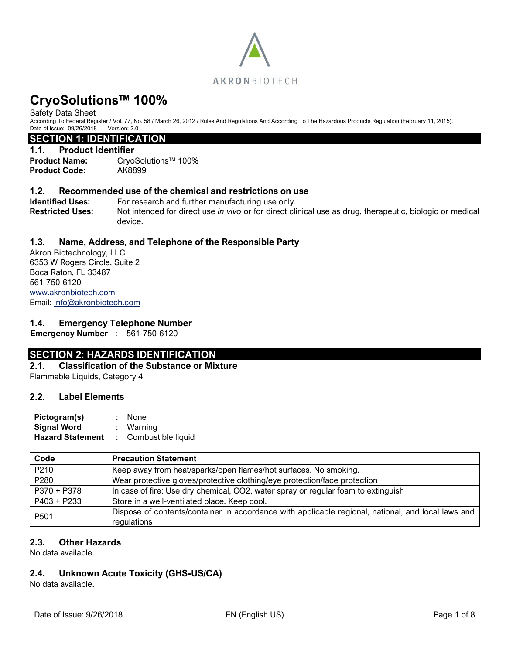

Safety Data Sheet

According To Federal Register / Vol. 77, No. 58 / March 26, 2012 / Rules And Regulations And According To The Hazardous Products Regulation (February 11, 2015). Date of Issue: 09/26/2018 Version: 2.0

#### **SECTION 1: IDENTIFICATION**

#### **1.1. Product Identifier**

**Product Name:** CryoSolutions™ 100% **Product Code:** AK8899

### **1.2. Recommended use of the chemical and restrictions on use**

**Identified Uses:** For research and further manufacturing use only. **Restricted Uses:** Not intended for direct use *in vivo* or for direct clinical use as drug, therapeutic, biologic or medical device.

# **1.3. Name, Address, and Telephone of the Responsible Party**

Akron Biotechnology, LLC 6353 W Rogers Circle, Suite 2 Boca Raton, FL 33487 561-750-6120 [www.akronbiotech.com](http://www.akronbiotech.com/%3c/a) Email: [info@akronbiotech.com](mailto:info@akronbiotech.com)

### **1.4. Emergency Telephone Number**

**Emergency Number** : 561-750-6120

# **SECTION 2: HAZARDS IDENTIFICATION**

**2.1. Classification of the Substance or Mixture** Flammable Liquids, Category 4

### **2.2. Label Elements**

| Pictogram(s)            | : None               |
|-------------------------|----------------------|
| <b>Signal Word</b>      | : Warning            |
| <b>Hazard Statement</b> | : Combustible liquid |

| Code             | <b>Precaution Statement</b>                                                                                       |
|------------------|-------------------------------------------------------------------------------------------------------------------|
| P210             | Keep away from heat/sparks/open flames/hot surfaces. No smoking.                                                  |
| P280             | Wear protective gloves/protective clothing/eye protection/face protection                                         |
| P370 + P378      | In case of fire: Use dry chemical, CO2, water spray or regular foam to extinguish                                 |
| $P403 + P233$    | Store in a well-ventilated place. Keep cool.                                                                      |
| P <sub>501</sub> | Dispose of contents/container in accordance with applicable regional, national, and local laws and<br>regulations |

### **2.3. Other Hazards**

No data available.

# **2.4. Unknown Acute Toxicity (GHS-US/CA)**

No data available.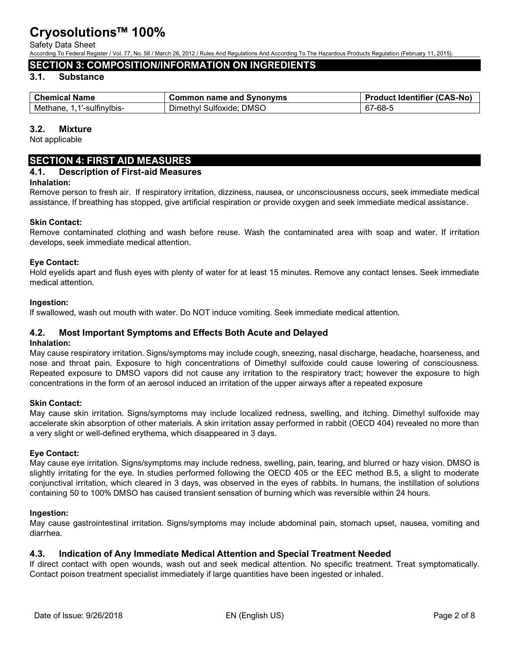Safety Data Sheet

According To Federal Register / Vol. 77, No. 58 / March 26, 2012 / Rules And Regulations And According To The Hazardous Products Regulation (February 11, 2015).

# **SECTION 3: COMPOSITION/INFORMATION ON INGREDIENTS**

# **3.1. Substance**

| <b>Chemical Name</b>       | Common name and Synonyms                | <b>Product Identifier (CAS-No)</b>    |
|----------------------------|-----------------------------------------|---------------------------------------|
| '-sulfinvlbis-<br>Methane. | <b>DMSO</b><br>Sultoxide:<br>⊃imethvi ′ | $\sim$<br><sup>.</sup> -68-ა<br>- 01- |

#### **3.2. Mixture**

Not applicable

# **SECTION 4: FIRST AID MEASURES**

#### **4.1. Description of First-aid Measures**

#### **Inhalation:**

Remove person to fresh air. If respiratory irritation, dizziness, nausea, or unconsciousness occurs, seek immediate medical assistance. If breathing has stopped, give artificial respiration or provide oxygen and seek immediate medical assistance.

#### **Skin Contact:**

Remove contaminated clothing and wash before reuse. Wash the contaminated area with soap and water. If irritation develops, seek immediate medical attention.

#### **Eye Contact:**

Hold eyelids apart and flush eyes with plenty of water for at least 15 minutes. Remove any contact lenses. Seek immediate medical attention.

#### **Ingestion:**

If swallowed, wash out mouth with water. Do NOT induce vomiting. Seek immediate medical attention.

#### **4.2. Most Important Symptoms and Effects Both Acute and Delayed**

#### **Inhalation:**

May cause respiratory irritation. Signs/symptoms may include cough, sneezing, nasal discharge, headache, hoarseness, and nose and throat pain. Exposure to high concentrations of Dimethyl sulfoxide could cause lowering of consciousness. Repeated exposure to DMSO vapors did not cause any irritation to the respiratory tract; however the exposure to high concentrations in the form of an aerosol induced an irritation of the upper airways after a repeated exposure

#### **Skin Contact:**

May cause skin irritation. Signs/symptoms may include localized redness, swelling, and itching. Dimethyl sulfoxide may accelerate skin absorption of other materials. A skin irritation assay performed in rabbit (OECD 404) revealed no more than a very slight or well-defined erythema, which disappeared in 3 days.

#### **Eye Contact:**

May cause eye irritation. Signs/symptoms may include redness, swelling, pain, tearing, and blurred or hazy vision. DMSO is slightly irritating for the eye. In studies performed following the OECD 405 or the EEC method B.5, a slight to moderate conjunctival irritation, which cleared in 3 days, was observed in the eyes of rabbits. In humans, the instillation of solutions containing 50 to 100% DMSO has caused transient sensation of burning which was reversible within 24 hours.

#### **Ingestion:**

May cause gastrointestinal irritation. Signs/symptoms may include abdominal pain, stomach upset, nausea, vomiting and diarrhea.

### **4.3. Indication of Any Immediate Medical Attention and Special Treatment Needed**

If direct contact with open wounds, wash out and seek medical attention. No specific treatment. Treat symptomatically. Contact poison treatment specialist immediately if large quantities have been ingested or inhaled.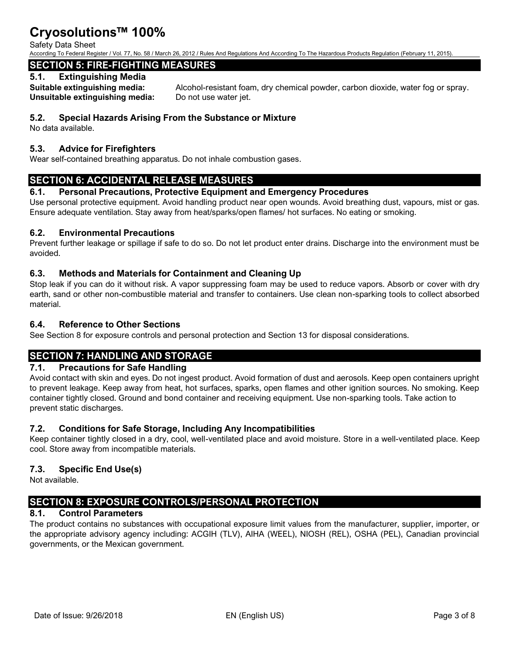#### Safety Data Sheet

According To Federal Register / Vol. 77, No. 58 / March 26, 2012 / Rules And Regulations And According To The Hazardous Products Regulation (February 11, 2015).

# **SECTION 5: FIRE-FIGHTING MEASURES**

#### **5.1. Extinguishing Media**

**Unsuitable extinguishing media:** Do not use water jet.

**Suitable extinguishing media:** Alcohol-resistant foam, dry chemical powder, carbon dioxide, water fog or spray.

### **5.2. Special Hazards Arising From the Substance or Mixture**

No data available.

### **5.3. Advice for Firefighters**

Wear self-contained breathing apparatus. Do not inhale combustion gases.

# **SECTION 6: ACCIDENTAL RELEASE MEASURES**

### **6.1. Personal Precautions, Protective Equipment and Emergency Procedures**

Use personal protective equipment. Avoid handling product near open wounds. Avoid breathing dust, vapours, mist or gas. Ensure adequate ventilation. Stay away from heat/sparks/open flames/ hot surfaces. No eating or smoking.

### **6.2. Environmental Precautions**

Prevent further leakage or spillage if safe to do so. Do not let product enter drains. Discharge into the environment must be avoided.

### **6.3. Methods and Materials for Containment and Cleaning Up**

Stop leak if you can do it without risk. A vapor suppressing foam may be used to reduce vapors. Absorb or cover with dry earth, sand or other non-combustible material and transfer to containers. Use clean non-sparking tools to collect absorbed material.

### **6.4. Reference to Other Sections**

See Section 8 for exposure controls and personal protection and Section 13 for disposal considerations.

# **SECTION 7: HANDLING AND STORAGE**

### **7.1. Precautions for Safe Handling**

Avoid contact with skin and eyes. Do not ingest product. Avoid formation of dust and aerosols. Keep open containers upright to prevent leakage. Keep away from heat, hot surfaces, sparks, open flames and other ignition sources. No smoking. Keep container tightly closed. Ground and bond container and receiving equipment. Use non-sparking tools. Take action to prevent static discharges.

### **7.2. Conditions for Safe Storage, Including Any Incompatibilities**

Keep container tightly closed in a dry, cool, well-ventilated place and avoid moisture. Store in a well-ventilated place. Keep cool. Store away from incompatible materials.

# **7.3. Specific End Use(s)**

Not available.

# **SECTION 8: EXPOSURE CONTROLS/PERSONAL PROTECTION**

# **8.1. Control Parameters**

The product contains no substances with occupational exposure limit values from the manufacturer, supplier, importer, or the appropriate advisory agency including: ACGIH (TLV), AIHA (WEEL), NIOSH (REL), OSHA (PEL), Canadian provincial governments, or the Mexican government.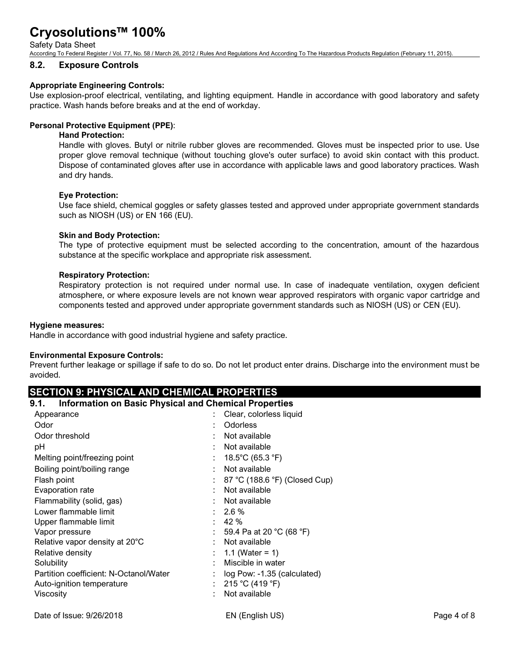Safety Data Sheet

According To Federal Register / Vol. 77, No. 58 / March 26, 2012 / Rules And Regulations And According To The Hazardous Products Regulation (February 11, 2015).

#### **8.2. Exposure Controls**

#### **Appropriate Engineering Controls:**

Use explosion-proof electrical, ventilating, and lighting equipment. Handle in accordance with good laboratory and safety practice. Wash hands before breaks and at the end of workday.

#### **Personal Protective Equipment (PPE)**:

#### **Hand Protection:**

Handle with gloves. Butyl or nitrile rubber gloves are recommended. Gloves must be inspected prior to use. Use proper glove removal technique (without touching glove's outer surface) to avoid skin contact with this product. Dispose of contaminated gloves after use in accordance with applicable laws and good laboratory practices. Wash and dry hands.

#### **Eye Protection:**

Use face shield, chemical goggles or safety glasses tested and approved under appropriate government standards such as NIOSH (US) or EN 166 (EU).

#### **Skin and Body Protection:**

The type of protective equipment must be selected according to the concentration, amount of the hazardous substance at the specific workplace and appropriate risk assessment.

#### **Respiratory Protection:**

Respiratory protection is not required under normal use. In case of inadequate ventilation, oxygen deficient atmosphere, or where exposure levels are not known wear approved respirators with organic vapor cartridge and components tested and approved under appropriate government standards such as NIOSH (US) or CEN (EU).

#### **Hygiene measures:**

Handle in accordance with good industrial hygiene and safety practice.

#### **Environmental Exposure Controls:**

Prevent further leakage or spillage if safe to do so. Do not let product enter drains. Discharge into the environment must be avoided.

### **SECTION 9: PHYSICAL AND CHEMICAL PROPERTIES**

| 9.1. | <b>Information on Basic Physical and Chemical Properties</b> |  |  |  |
|------|--------------------------------------------------------------|--|--|--|
|      |                                                              |  |  |  |

| Appearance                             | Clear, colorless liquid       |
|----------------------------------------|-------------------------------|
| Odor                                   | <b>Odorless</b>               |
| Odor threshold                         | Not available                 |
| рH                                     | Not available                 |
| Melting point/freezing point           | 18.5°C (65.3 °F)              |
| Boiling point/boiling range            | Not available                 |
| Flash point                            | 87 °C (188.6 °F) (Closed Cup) |
| Evaporation rate                       | Not available                 |
| Flammability (solid, gas)              | Not available                 |
| Lower flammable limit                  | $2.6\%$                       |
| Upper flammable limit                  | 42 %<br>٠.                    |
| Vapor pressure                         | 59.4 Pa at 20 °C (68 °F)      |
| Relative vapor density at 20°C         | Not available                 |
| Relative density                       | 1.1 (Water = 1)               |
| Solubility                             | Miscible in water             |
| Partition coefficient: N-Octanol/Water | log Pow: -1.35 (calculated)   |
| Auto-ignition temperature              | 215 °C (419 °F)<br>÷.         |
| Viscosity                              | Not available                 |
|                                        |                               |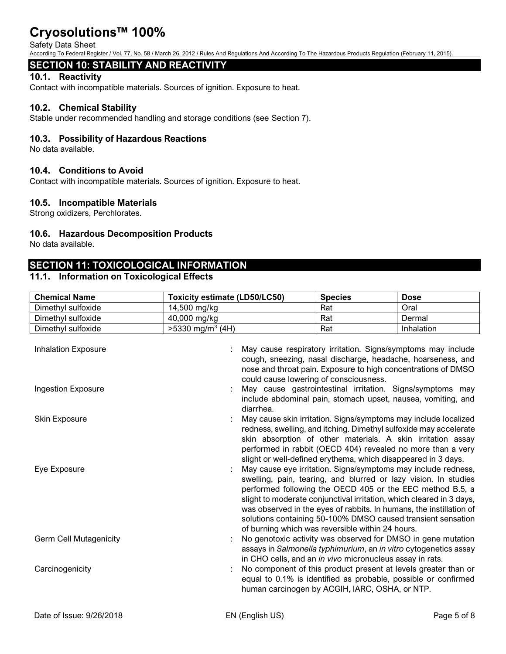#### Safety Data Sheet

According To Federal Register / Vol. 77, No. 58 / March 26, 2012 / Rules And Regulations And According To The Hazardous Products Regulation (February 11, 2015).

# **SECTION 10: STABILITY AND REACTIVITY**

### **10.1. Reactivity**

Contact with incompatible materials. Sources of ignition. Exposure to heat.

#### **10.2. Chemical Stability**

Stable under recommended handling and storage conditions (see Section 7).

#### **10.3. Possibility of Hazardous Reactions**

No data available.

#### **10.4. Conditions to Avoid**

Contact with incompatible materials. Sources of ignition. Exposure to heat.

#### **10.5. Incompatible Materials**

Strong oxidizers, Perchlorates.

### **10.6. Hazardous Decomposition Products**

No data available.

# **SECTION 11: TOXICOLOGICAL INFORMATION**

#### **11.1. Information on Toxicological Effects**

| <b>Toxicity estimate (LD50/LC50)</b> | <b>Species</b> | <b>Dose</b> |
|--------------------------------------|----------------|-------------|
| 14,500 mg/kg                         | Rat            | Oral        |
| 40,000 mg/kg                         | Rat            | Dermal      |
| $>5330$ mg/m <sup>3</sup> (4H)       | Rat            | Inhalation  |
|                                      |                |             |

Inhalation Exposure **in the set of the COV** include : May cause respiratory irritation. Signs/symptoms may include cough, sneezing, nasal discharge, headache, hoarseness, and nose and throat pain. Exposure to high concentrations of DMSO could cause lowering of consciousness.

Ingestion Exposure **interval in the Constant Construction** : May cause gastrointestinal irritation. Signs/symptoms may include abdominal pain, stomach upset, nausea, vomiting, and diarrhea.

Skin Exposure **in the summan state of the set of the set of the set of the set of the set of the set of the set of the set of the set of the set of the set of the set of the set of the set of the set of the set of the set** redness, swelling, and itching. Dimethyl sulfoxide may accelerate skin absorption of other materials. A skin irritation assay performed in rabbit (OECD 404) revealed no more than a very slight or well-defined erythema, which disappeared in 3 days.

Eye Exposure : May cause eye irritation. Signs/symptoms may include redness, swelling, pain, tearing, and blurred or lazy vision. In studies performed following the OECD 405 or the EEC method B.5, a slight to moderate conjunctival irritation, which cleared in 3 days, was observed in the eyes of rabbits. In humans, the instillation of solutions containing 50-100% DMSO caused transient sensation of burning which was reversible within 24 hours.

Germ Cell Mutagenicity **Solution Cell Automobia Certivity** was observed for DMSO in gene mutation assays in *Salmonella typhimurium*, an *in vitro* cytogenetics assay in CHO cells, and an *in vivo* micronucleus assay in rats.

Carcinogenicity **South America** is the component of this product present at levels greater than or equal to 0.1% is identified as probable, possible or confirmed human carcinogen by ACGIH, IARC, OSHA, or NTP.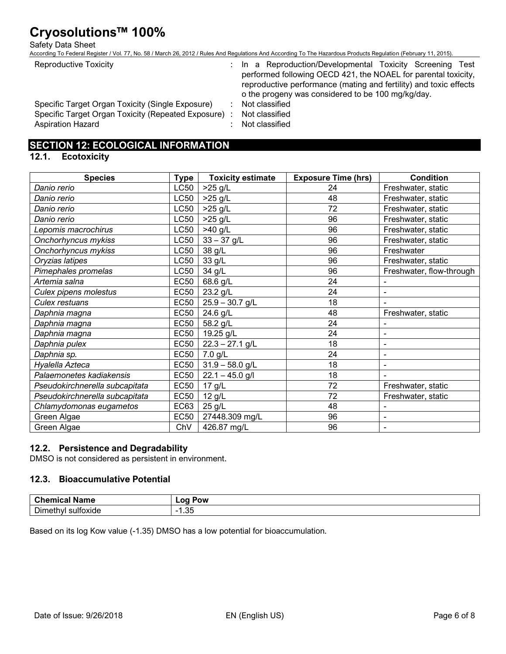#### Safety Data Sheet

According To Federal Register / Vol. 77, No. 58 / March 26, 2012 / Rules And Regulations And According To The Hazardous Products Regulation (February 11, 2015).

Reproductive Toxicity **in a Reproduction/Developmental Toxicity Screening Test** performed following OECD 421, the NOAEL for parental toxicity, reproductive performance (mating and fertility) and toxic effects o the progeny was considered to be 100 mg/kg/day.

Specific Target Organ Toxicity (Single Exposure) : Not classified Specific Target Organ Toxicity (Repeated Exposure) : Not classified Aspiration Hazard **in the set of the Casacal** Separation Hazard in the set of the set of the set of the set of the set of the set of the set of the set of the set of the set of the set of the set of the set of the set of t

- 
- 
- 

# **SECTION 12: ECOLOGICAL INFORMATION**

#### **12.1. Ecotoxicity**

| <b>Species</b>                 | Type        | <b>Toxicity estimate</b> | <b>Exposure Time (hrs)</b> | <b>Condition</b>         |
|--------------------------------|-------------|--------------------------|----------------------------|--------------------------|
| Danio rerio                    | LC50        | $>25$ g/L                | 24                         | Freshwater, static       |
| Danio rerio                    | LC50        | $>25$ g/L                | 48                         | Freshwater, static       |
| Danio rerio                    | LC50        | >25 g/L                  | 72                         | Freshwater, static       |
| Danio rerio                    | LC50        | $>25$ g/L                | 96                         | Freshwater, static       |
| Lepomis macrochirus            | LC50        | >40 g/L                  | 96                         | Freshwater, static       |
| Onchorhyncus mykiss            | LC50        | $33 - 37$ g/L            | 96                         | Freshwater, static       |
| Onchorhyncus mykiss            | LC50        | 38 g/L                   | 96                         | Freshwater               |
| Oryzias latipes                | <b>LC50</b> | 33 g/L                   | 96                         | Freshwater, static       |
| Pimephales promelas            | LC50        | 34 g/L                   | 96                         | Freshwater, flow-through |
| Artemia salna                  | <b>EC50</b> | 68.6 g/L                 | 24                         |                          |
| Culex pipens molestus          | <b>EC50</b> | 23.2 g/L                 | 24                         | -                        |
| Culex restuans                 | <b>EC50</b> | $25.9 - 30.7$ g/L        | 18                         |                          |
| Daphnia magna                  | <b>EC50</b> | 24.6 g/L                 | 48                         | Freshwater, static       |
| Daphnia magna                  | <b>EC50</b> | 58.2 g/L                 | 24                         |                          |
| Daphnia magna                  | <b>EC50</b> | 19.25 g/L                | 24                         | $\overline{\phantom{a}}$ |
| Daphnia pulex                  | <b>EC50</b> | $22.3 - 27.1$ g/L        | 18                         | $\overline{\phantom{a}}$ |
| Daphnia sp.                    | <b>EC50</b> | $7.0$ g/L                | 24                         | $\overline{\phantom{a}}$ |
| Hyalella Azteca                | <b>EC50</b> | $31.9 - 58.0$ g/L        | 18                         | $\blacksquare$           |
| Palaemonetes kadiakensis       | <b>EC50</b> | $22.1 - 45.0$ g/l        | 18                         | $\blacksquare$           |
| Pseudokirchnerella subcapitata | <b>EC50</b> | 17 g/L                   | 72                         | Freshwater, static       |
| Pseudokirchnerella subcapitata | <b>EC50</b> | $12$ g/L                 | 72                         | Freshwater, static       |
| Chlamydomonas eugametos        | EC63        | 25 g/L                   | 48                         |                          |
| Green Algae                    | <b>EC50</b> | 27448.309 mg/L           | 96                         | $\overline{\phantom{a}}$ |
| Green Algae                    | ChV         | 426.87 mg/L              | 96                         | -                        |

### **12.2. Persistence and Degradability**

DMSO is not considered as persistent in environment.

### **12.3. Bioaccumulative Potential**

| -------<br>ш<br>.a 1<br>we                            | ,,,,<br>ω<br>ั∙ov<br>. .  |
|-------------------------------------------------------|---------------------------|
| --<br>.<br>10110<br>ulto<br>Dime<br>⊶ו<br>ΠV<br>oxiue | $\sim$ $\sim$<br>-<br>∴∙ບ |

Based on its log Kow value (-1.35) DMSO has a low potential for bioaccumulation.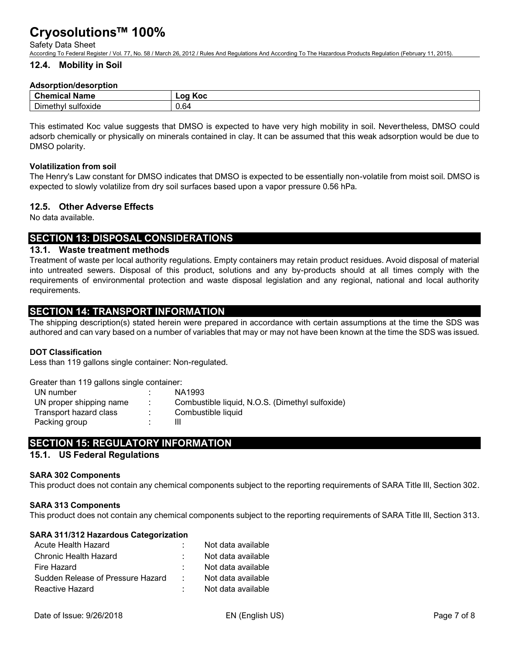#### Safety Data Sheet

According To Federal Register / Vol. 77, No. 58 / March 26, 2012 / Rules And Regulations And According To The Hazardous Products Regulation (February 11, 2015).

#### **12.4. Mobility in Soil**

#### **Adsorption/desorption**

| $\sim$                                                    | . .            |
|-----------------------------------------------------------|----------------|
| -------                                                   | Koc            |
| Name                                                      | $\sim$         |
| wuu                                                       | . .            |
| . .<br>--<br>. sultoxie:<br>Dim<br>neu<br>loxige<br>a IV' | $\sim$<br>V.O4 |

This estimated Koc value suggests that DMSO is expected to have very high mobility in soil. Nevertheless, DMSO could adsorb chemically or physically on minerals contained in clay. It can be assumed that this weak adsorption would be due to DMSO polarity.

#### **Volatilization from soil**

The Henry's Law constant for DMSO indicates that DMSO is expected to be essentially non-volatile from moist soil. DMSO is expected to slowly volatilize from dry soil surfaces based upon a vapor pressure 0.56 hPa.

#### **12.5. Other Adverse Effects**

No data available.

# **SECTION 13: DISPOSAL CONSIDERATIONS**

#### **13.1. Waste treatment methods**

Treatment of waste per local authority regulations. Empty containers may retain product residues. Avoid disposal of material into untreated sewers. Disposal of this product, solutions and any by-products should at all times comply with the requirements of environmental protection and waste disposal legislation and any regional, national and local authority requirements.

# **SECTION 14: TRANSPORT INFORMATION**

The shipping description(s) stated herein were prepared in accordance with certain assumptions at the time the SDS was authored and can vary based on a number of variables that may or may not have been known at the time the SDS was issued.

#### **DOT Classification**

Less than 119 gallons single container: Non-regulated.

Greater than 119 gallons single container:

| UN number               | NA1993                                          |
|-------------------------|-------------------------------------------------|
| UN proper shipping name | Combustible liquid, N.O.S. (Dimethyl sulfoxide) |
| Transport hazard class  | Combustible liquid                              |
| Packing group           |                                                 |

# **SECTION 15: REGULATORY INFORMATION**

#### **15.1. US Federal Regulations**

#### **SARA 302 Components**

This product does not contain any chemical components subject to the reporting requirements of SARA Title III, Section 302.

#### **SARA 313 Components**

This product does not contain any chemical components subject to the reporting requirements of SARA Title III, Section 313.

|  |  |  | SARA 311/312 Hazardous Categorization |
|--|--|--|---------------------------------------|
|--|--|--|---------------------------------------|

| Acute Health Hazard               |                   | Not data available |
|-----------------------------------|-------------------|--------------------|
| Chronic Health Hazard             |                   | Not data available |
| Fire Hazard                       |                   | Not data available |
| Sudden Release of Pressure Hazard | <b>Contractor</b> | Not data available |
| Reactive Hazard                   |                   | Not data available |